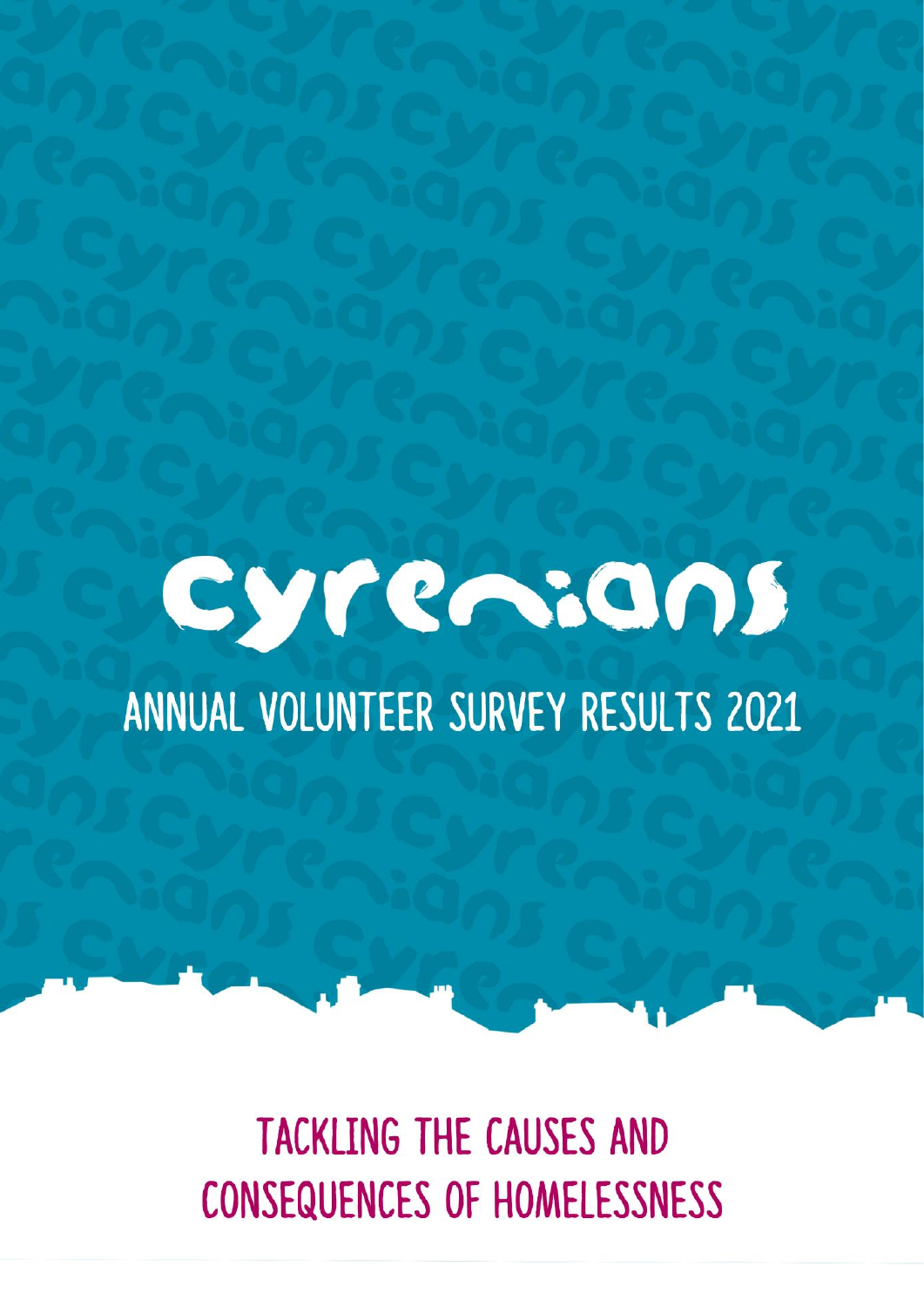

# ANNUAL VOLUNTEER SURVEY RESULTS 2021

**TACKLING THE CAUSES AND CONSEQUENCES OF HOMELESSNESS**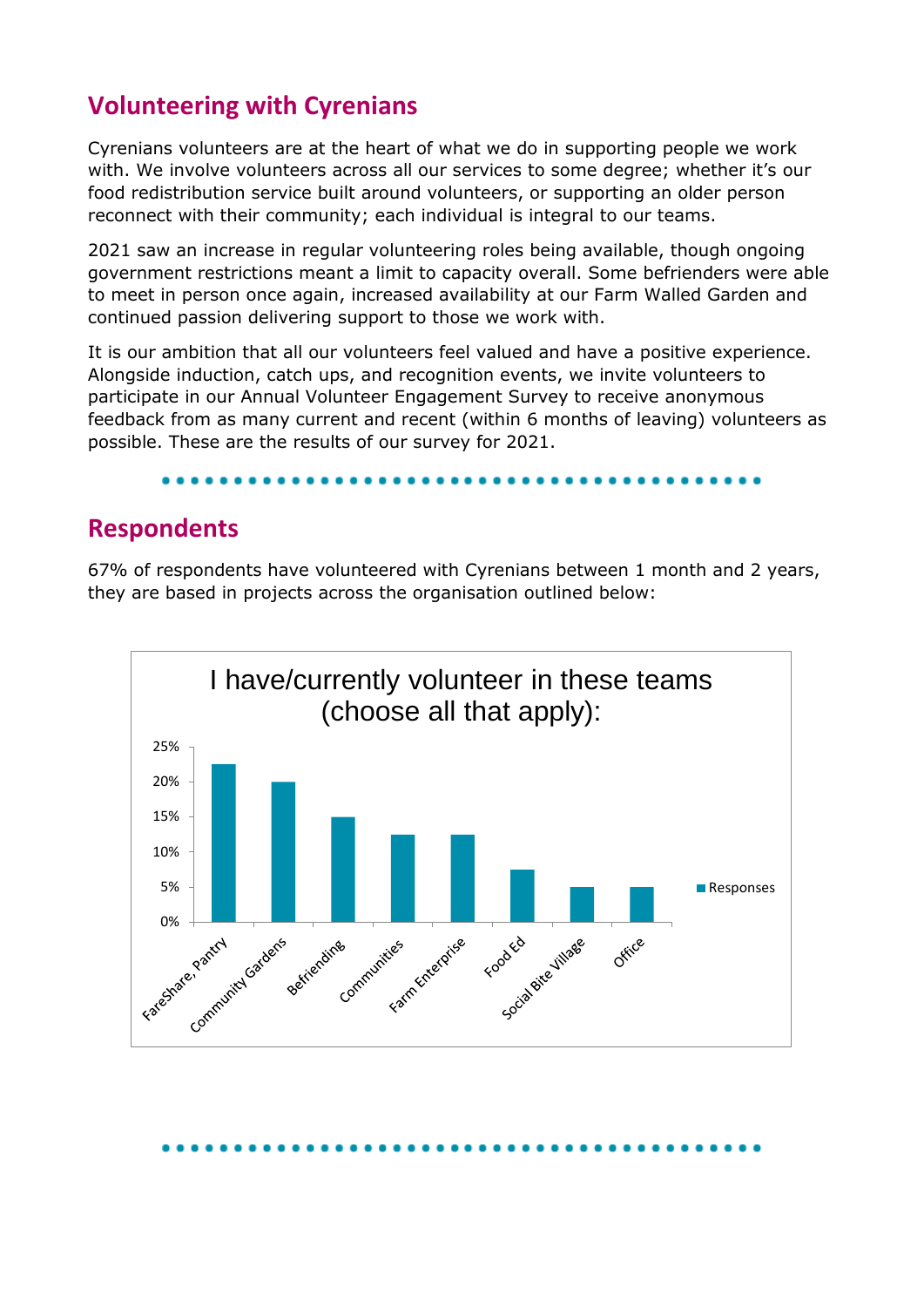# **Volunteering with Cyrenians**

Cyrenians volunteers are at the heart of what we do in supporting people we work with. We involve volunteers across all our services to some degree; whether it's our food redistribution service built around volunteers, or supporting an older person reconnect with their community; each individual is integral to our teams.

2021 saw an increase in regular volunteering roles being available, though ongoing government restrictions meant a limit to capacity overall. Some befrienders were able to meet in person once again, increased availability at our Farm Walled Garden and continued passion delivering support to those we work with.

It is our ambition that all our volunteers feel valued and have a positive experience. Alongside induction, catch ups, and recognition events, we invite volunteers to participate in our Annual Volunteer Engagement Survey to receive anonymous feedback from as many current and recent (within 6 months of leaving) volunteers as possible. These are the results of our survey for 2021.

### **Respondents**

67% of respondents have volunteered with Cyrenians between 1 month and 2 years, they are based in projects across the organisation outlined below:

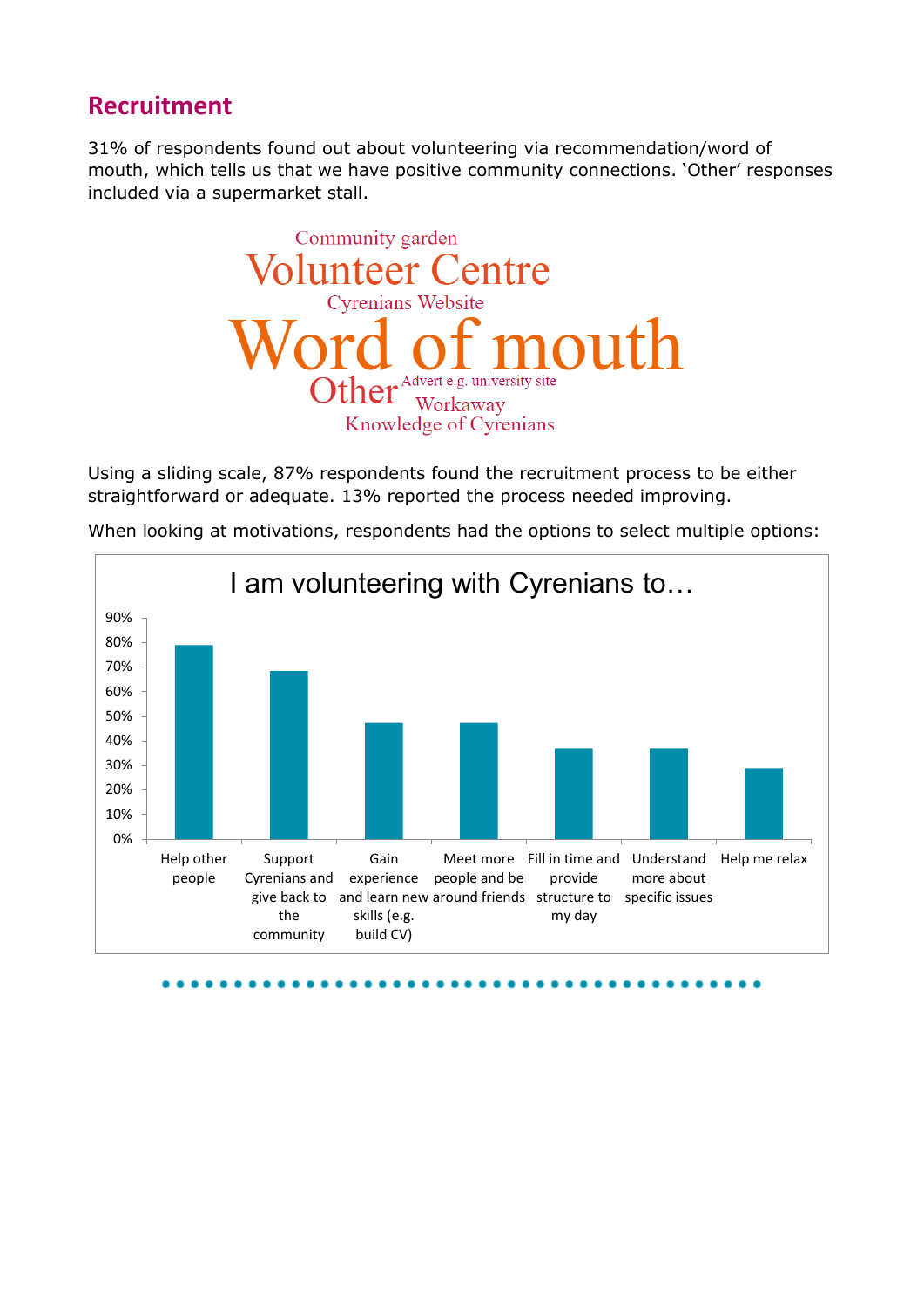## **Recruitment**

31% of respondents found out about volunteering via recommendation/word of mouth, which tells us that we have positive community connections. 'Other' responses included via a supermarket stall.



Using a sliding scale, 87% respondents found the recruitment process to be either straightforward or adequate. 13% reported the process needed improving.



When looking at motivations, respondents had the options to select multiple options: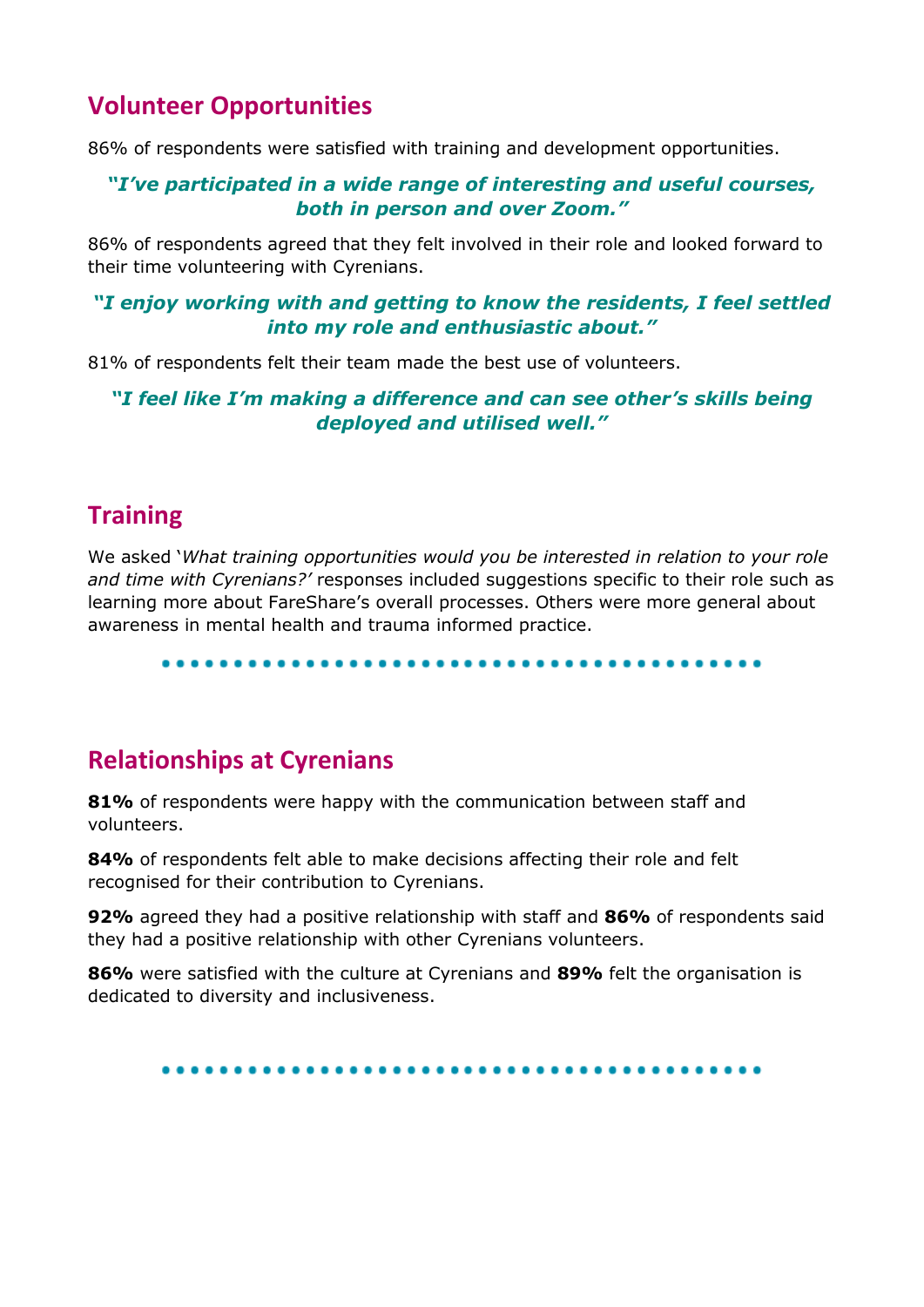# **Volunteer Opportunities**

86% of respondents were satisfied with training and development opportunities.

#### *"I've participated in a wide range of interesting and useful courses, both in person and over Zoom."*

86% of respondents agreed that they felt involved in their role and looked forward to their time volunteering with Cyrenians.

#### *"I enjoy working with and getting to know the residents, I feel settled into my role and enthusiastic about."*

81% of respondents felt their team made the best use of volunteers.

#### *"I feel like I'm making a difference and can see other's skills being deployed and utilised well."*

# **Training**

We asked '*What training opportunities would you be interested in relation to your role and time with Cyrenians?'* responses included suggestions specific to their role such as learning more about FareShare's overall processes. Others were more general about awareness in mental health and trauma informed practice.

....................................

# **Relationships at Cyrenians**

**81%** of respondents were happy with the communication between staff and volunteers.

**84%** of respondents felt able to make decisions affecting their role and felt recognised for their contribution to Cyrenians.

**92%** agreed they had a positive relationship with staff and **86%** of respondents said they had a positive relationship with other Cyrenians volunteers.

**86%** were satisfied with the culture at Cyrenians and **89%** felt the organisation is dedicated to diversity and inclusiveness.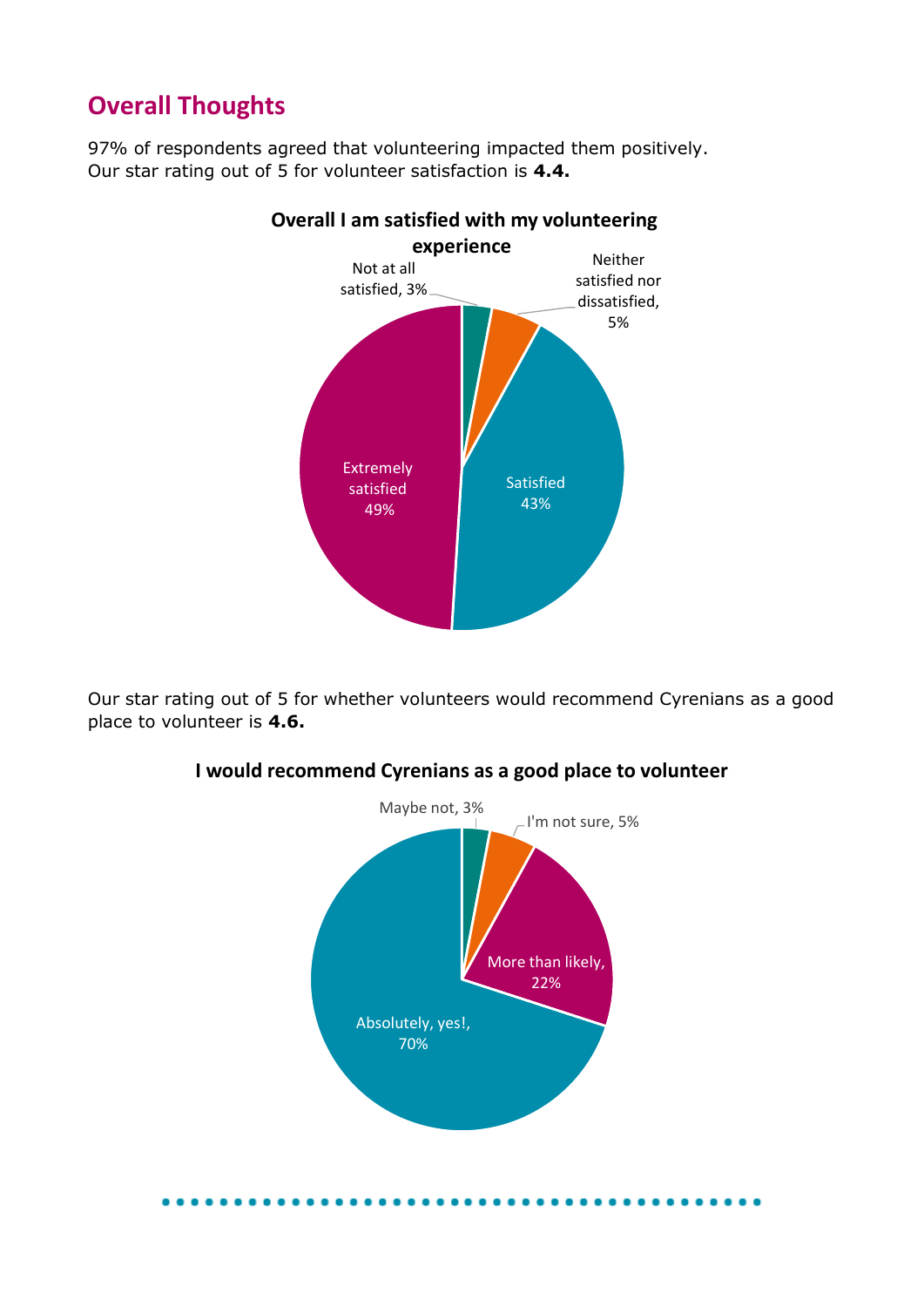# **Overall Thoughts**

97% of respondents agreed that volunteering impacted them positively. Our star rating out of 5 for volunteer satisfaction is **4.4.**



Our star rating out of 5 for whether volunteers would recommend Cyrenians as a good place to volunteer is **4.6.**



#### **I would recommend Cyrenians as a good place to volunteer**